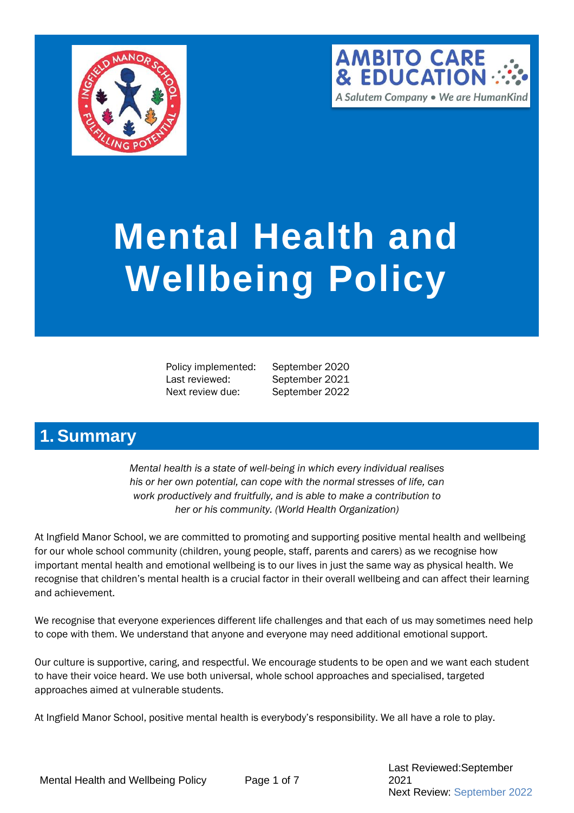



# **Mental Health and Wellbeing Policy**

Policy implemented: September 2020 Last reviewed: September 2021 Next review due: September 2022

## <span id="page-0-0"></span>**1. Summary**

*Mental health is a state of well-being in which every individual realises his or her own potential, can cope with the normal stresses of life, can work productively and fruitfully, and is able to make a contribution to her or his community. (World Health Organization)*

At Ingfield Manor School, we are committed to promoting and supporting positive mental health and wellbeing for our whole school community (children, young people, staff, parents and carers) as we recognise how important mental health and emotional wellbeing is to our lives in just the same way as physical health. We recognise that children's mental health is a crucial factor in their overall wellbeing and can affect their learning and achievement.

We recognise that everyone experiences different life challenges and that each of us may sometimes need help to cope with them. We understand that anyone and everyone may need additional emotional support.

Our culture is supportive, caring, and respectful. We encourage students to be open and we want each student to have their voice heard. We use both universal, whole school approaches and specialised, targeted approaches aimed at vulnerable students.

At Ingfield Manor School, positive mental health is everybody's responsibility. We all have a role to play.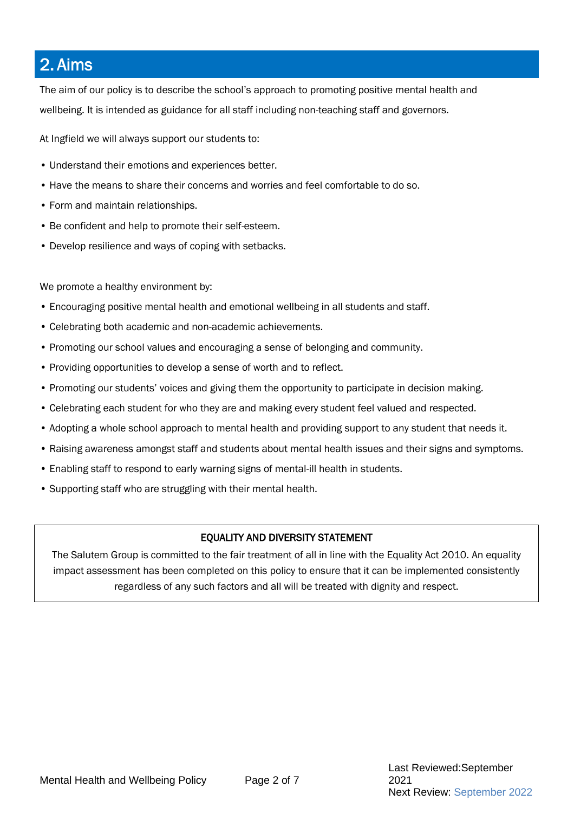#### 2. Aims

The aim of our policy is to describe the school's approach to promoting positive mental health and wellbeing. It is intended as guidance for all staff including non-teaching staff and governors.

At Ingfield we will always support our students to:

- Understand their emotions and experiences better.
- Have the means to share their concerns and worries and feel comfortable to do so.
- Form and maintain relationships.
- Be confident and help to promote their self-esteem.
- Develop resilience and ways of coping with setbacks.

We promote a healthy environment by:

- Encouraging positive mental health and emotional wellbeing in all students and staff.
- Celebrating both academic and non-academic achievements.
- Promoting our school values and encouraging a sense of belonging and community.
- Providing opportunities to develop a sense of worth and to reflect.
- Promoting our students' voices and giving them the opportunity to participate in decision making.
- Celebrating each student for who they are and making every student feel valued and respected.
- Adopting a whole school approach to mental health and providing support to any student that needs it.
- Raising awareness amongst staff and students about mental health issues and their signs and symptoms.
- Enabling staff to respond to early warning signs of mental-ill health in students.
- Supporting staff who are struggling with their mental health.

#### EQUALITY AND DIVERSITY STATEMENT

The Salutem Group is committed to the fair treatment of all in line with the Equality Act 2010. An equality impact assessment has been completed on this policy to ensure that it can be implemented consistently regardless of any such factors and all will be treated with dignity and respect.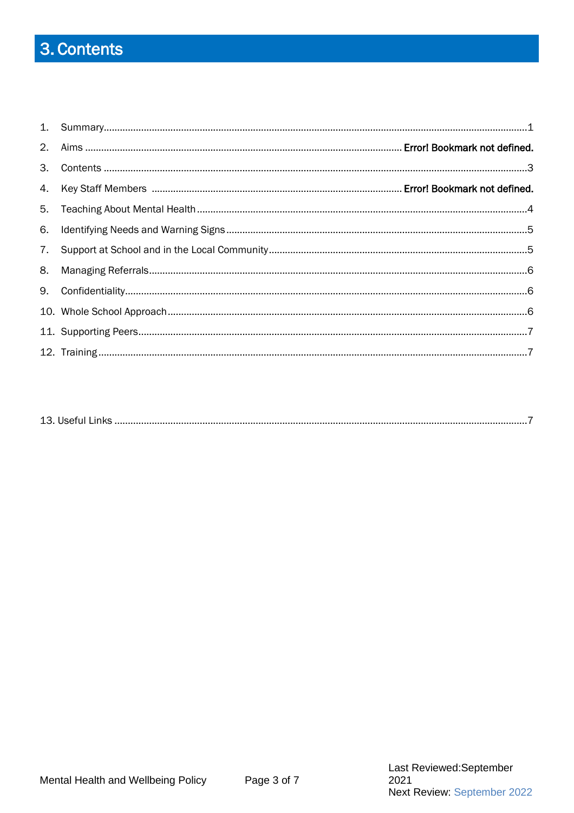## <span id="page-2-0"></span>3. Contents

| 101 |  |
|-----|--|
|     |  |
|     |  |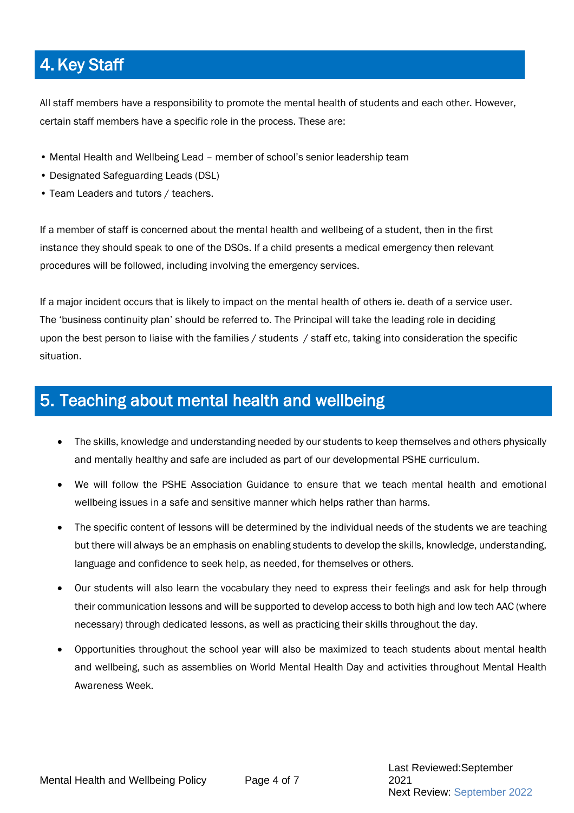#### 4. Key Staff

All staff members have a responsibility to promote the mental health of students and each other. However, certain staff members have a specific role in the process. These are:

- Mental Health and Wellbeing Lead member of school's senior leadership team
- Designated Safeguarding Leads (DSL)
- Team Leaders and tutors / teachers.

If a member of staff is concerned about the mental health and wellbeing of a student, then in the first instance they should speak to one of the DSOs. If a child presents a medical emergency then relevant procedures will be followed, including involving the emergency services.

If a major incident occurs that is likely to impact on the mental health of others ie. death of a service user. The 'business continuity plan' should be referred to. The Principal will take the leading role in deciding upon the best person to liaise with the families / students / staff etc, taking into consideration the specific situation.

#### 5. Teaching about mental health and wellbeing

- The skills, knowledge and understanding needed by our students to keep themselves and others physically and mentally healthy and safe are included as part of our developmental PSHE curriculum.
- We will follow the PSHE Association Guidance to ensure that we teach mental health and emotional wellbeing issues in a safe and sensitive manner which helps rather than harms.
- The specific content of lessons will be determined by the individual needs of the students we are teaching but there will always be an emphasis on enabling students to develop the skills, knowledge, understanding, language and confidence to seek help, as needed, for themselves or others.
- Our students will also learn the vocabulary they need to express their feelings and ask for help through their communication lessons and will be supported to develop access to both high and low tech AAC (where necessary) through dedicated lessons, as well as practicing their skills throughout the day.
- Opportunities throughout the school year will also be maximized to teach students about mental health and wellbeing, such as assemblies on World Mental Health Day and activities throughout Mental Health Awareness Week.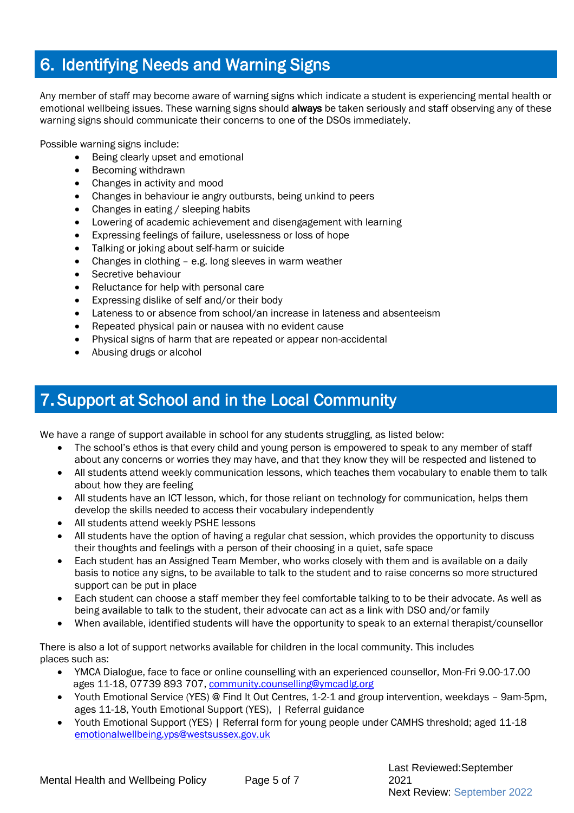#### 6. Identifying Needs and Warning Signs

Any member of staff may become aware of warning signs which indicate a student is experiencing mental health or emotional wellbeing issues. These warning signs should **always** be taken seriously and staff observing any of these warning signs should communicate their concerns to one of the DSOs immediately.

Possible warning signs include:

- Being clearly upset and emotional
- Becoming withdrawn
- Changes in activity and mood
- Changes in behaviour ie angry outbursts, being unkind to peers
- Changes in eating / sleeping habits
- Lowering of academic achievement and disengagement with learning
- Expressing feelings of failure, uselessness or loss of hope
- Talking or joking about self-harm or suicide
- Changes in clothing e.g. long sleeves in warm weather
- Secretive behaviour
- Reluctance for help with personal care
- Expressing dislike of self and/or their body
- Lateness to or absence from school/an increase in lateness and absenteeism
- Repeated physical pain or nausea with no evident cause
- Physical signs of harm that are repeated or appear non-accidental
- Abusing drugs or alcohol

#### 7. Support at School and in the Local Community

We have a range of support available in school for any students struggling, as listed below:

- The school's ethos is that every child and young person is empowered to speak to any member of staff about any concerns or worries they may have, and that they know they will be respected and listened to
- All students attend weekly communication lessons, which teaches them vocabulary to enable them to talk about how they are feeling
- All students have an ICT lesson, which, for those reliant on technology for communication, helps them develop the skills needed to access their vocabulary independently
- All students attend weekly PSHE lessons
- All students have the option of having a regular chat session, which provides the opportunity to discuss their thoughts and feelings with a person of their choosing in a quiet, safe space
- Each student has an Assigned Team Member, who works closely with them and is available on a daily basis to notice any signs, to be available to talk to the student and to raise concerns so more structured support can be put in place
- Each student can choose a staff member they feel comfortable talking to to be their advocate. As well as being available to talk to the student, their advocate can act as a link with DSO and/or family
- When available, identified students will have the opportunity to speak to an external therapist/counsellor

There is also a lot of support networks available for children in the local community. This includes places such as:

- YMCA Dialogue, face to face or online counselling with an experienced counsellor, Mon-Fri 9.00-17.00 ages 11-18, 07739 893 707[, community.counselling@ymcadlg.org](mailto:community.counselling@ymcadlg.org)
- Youth Emotional Service (YES) @ Find It Out Centres, 1-2-1 and group intervention, weekdays 9am-5pm, ages 11-18, Youth Emotional Support (YES), | Referral guidance
- Youth Emotional Support (YES) | Referral form for young people under CAMHS threshold; aged 11-18 [emotionalwellbeing.yps@westsussex.gov.uk](mailto:emotionalwellbeing.yps@westsussex.gov.uk)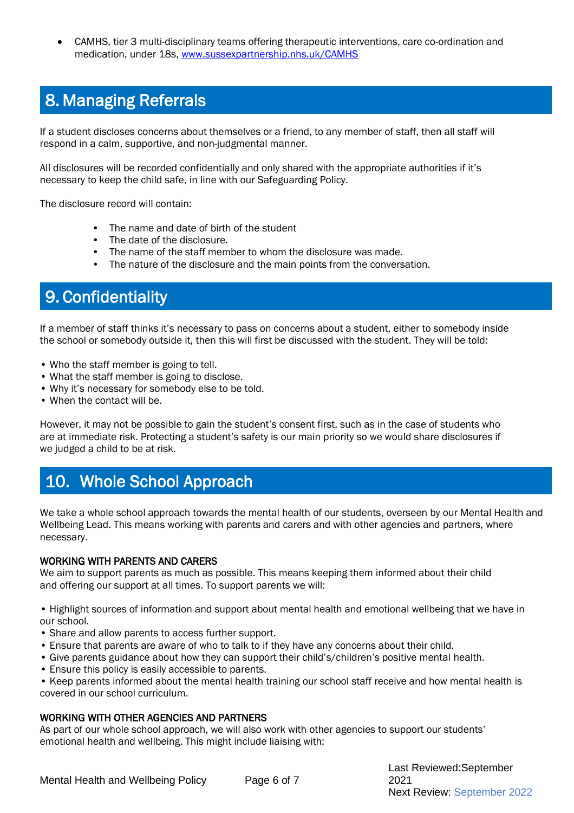• CAMHS, tier 3 multi-disciplinary teams offering therapeutic interventions, care co-ordination and medication, under 18s, [www.sussexpartnership.nhs.uk/CAMHS](http://www.sussexpartnership.nhs.uk/CAMHS)

#### 8. Managing Referrals

If a student discloses concerns about themselves or a friend, to any member of staff, then all staff will respond in a calm, supportive, and non-judgmental manner.

All disclosures will be recorded confidentially and only shared with the appropriate authorities if it's necessary to keep the child safe, in line with our Safeguarding Policy.

The disclosure record will contain:

- The name and date of birth of the student
- The date of the disclosure.
- The name of the staff member to whom the disclosure was made.
- The nature of the disclosure and the main points from the conversation.

#### 9. Confidentiality

If a member of staff thinks it's necessary to pass on concerns about a student, either to somebody inside the school or somebody outside it, then this will first be discussed with the student. They will be told:

- Who the staff member is going to tell.
- What the staff member is going to disclose.
- Why it's necessary for somebody else to be told.
- When the contact will be.

However, it may not be possible to gain the student's consent first, such as in the case of students who are at immediate risk. Protecting a student's safety is our main priority so we would share disclosures if we judged a child to be at risk.

#### 10. Whole School Approach

We take a whole school approach towards the mental health of our students, overseen by our Mental Health and Wellbeing Lead. This means working with parents and carers and with other agencies and partners, where necessary.

#### WORKING WITH PARENTS AND CARERS

We aim to support parents as much as possible. This means keeping them informed about their child and offering our support at all times. To support parents we will:

• Highlight sources of information and support about mental health and emotional wellbeing that we have in our school.

- Share and allow parents to access further support.
- Ensure that parents are aware of who to talk to if they have any concerns about their child.
- Give parents guidance about how they can support their child's/children's positive mental health.
- Ensure this policy is easily accessible to parents.

• Keep parents informed about the mental health training our school staff receive and how mental health is covered in our school curriculum.

#### WORKING WITH OTHER AGENCIES AND PARTNERS

As part of our whole school approach, we will also work with other agencies to support our students' emotional health and wellbeing. This might include liaising with: